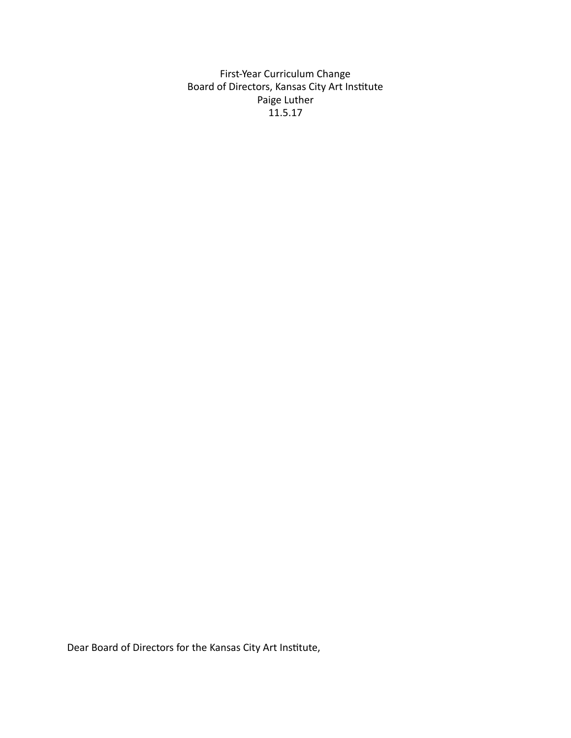First-Year Curriculum Change Board of Directors, Kansas City Art Institute Paige Luther 11.5.17 

Dear Board of Directors for the Kansas City Art Institute,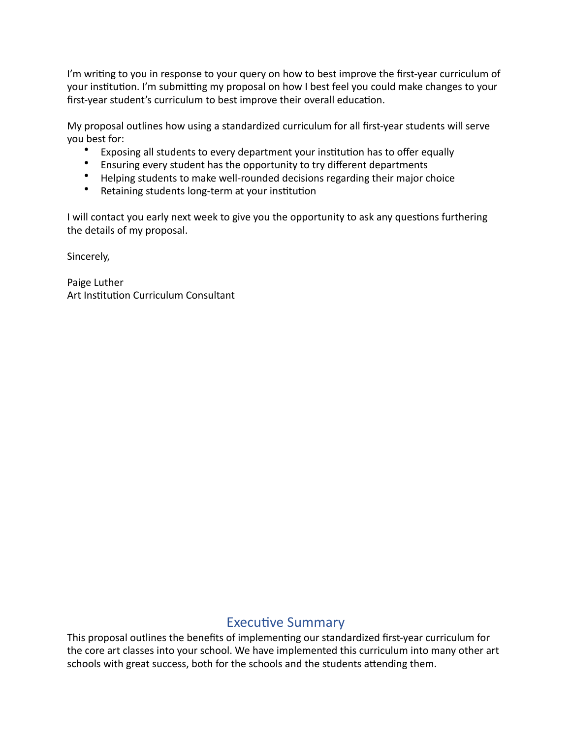I'm writing to you in response to your query on how to best improve the first-year curriculum of your institution. I'm submitting my proposal on how I best feel you could make changes to your first-year student's curriculum to best improve their overall education.

My proposal outlines how using a standardized curriculum for all first-year students will serve you best for:

- Exposing all students to every department your institution has to offer equally
- Ensuring every student has the opportunity to try different departments
- Helping students to make well-rounded decisions regarding their major choice
- Retaining students long-term at your institution

I will contact you early next week to give you the opportunity to ask any questions furthering the details of my proposal.

Sincerely, 

Paige Luther Art Institution Curriculum Consultant

# **Executive Summary**

This proposal outlines the benefits of implementing our standardized first-year curriculum for the core art classes into your school. We have implemented this curriculum into many other art schools with great success, both for the schools and the students attending them.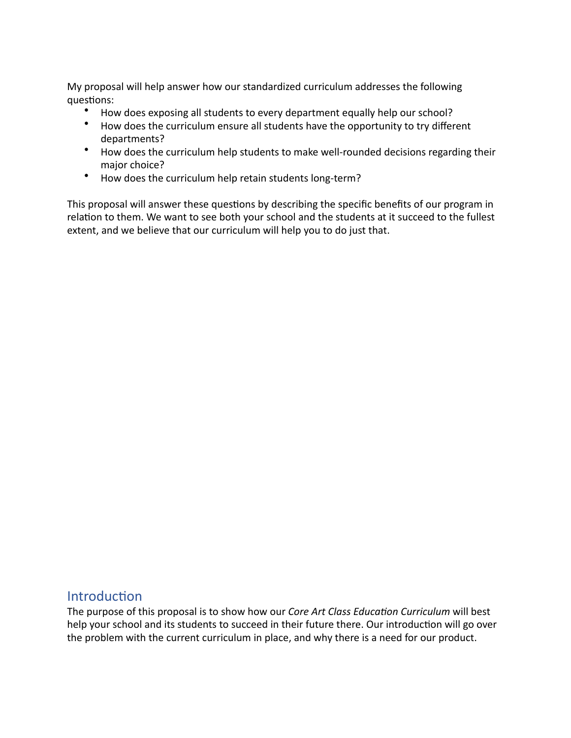My proposal will help answer how our standardized curriculum addresses the following questions:

- How does exposing all students to every department equally help our school?
- How does the curriculum ensure all students have the opportunity to try different departments?
- How does the curriculum help students to make well-rounded decisions regarding their major choice?
- How does the curriculum help retain students long-term?

This proposal will answer these questions by describing the specific benefits of our program in relation to them. We want to see both your school and the students at it succeed to the fullest extent, and we believe that our curriculum will help you to do just that.

### Introduction

The purpose of this proposal is to show how our *Core Art Class Education Curriculum* will best help your school and its students to succeed in their future there. Our introduction will go over the problem with the current curriculum in place, and why there is a need for our product.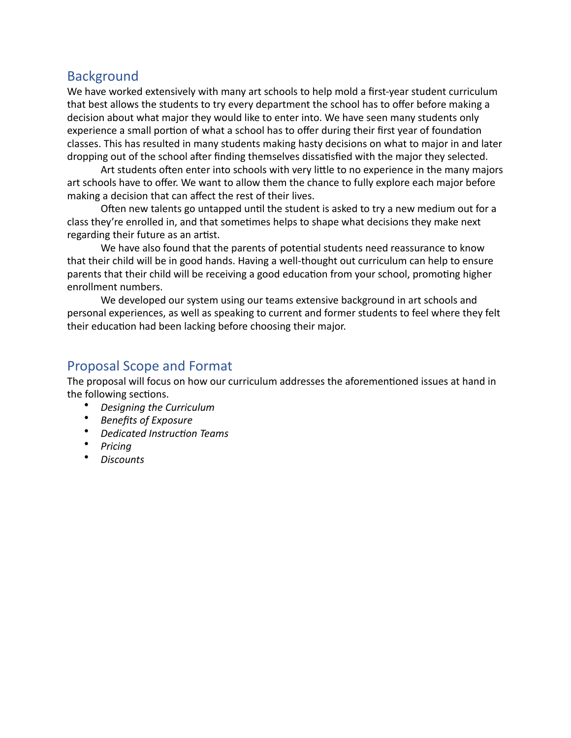## Background

We have worked extensively with many art schools to help mold a first-year student curriculum that best allows the students to try every department the school has to offer before making a decision about what major they would like to enter into. We have seen many students only experience a small portion of what a school has to offer during their first year of foundation classes. This has resulted in many students making hasty decisions on what to major in and later dropping out of the school after finding themselves dissatisfied with the major they selected.

Art students often enter into schools with very little to no experience in the many majors art schools have to offer. We want to allow them the chance to fully explore each major before making a decision that can affect the rest of their lives.

Often new talents go untapped until the student is asked to try a new medium out for a class they're enrolled in, and that sometimes helps to shape what decisions they make next regarding their future as an artist.

We have also found that the parents of potential students need reassurance to know that their child will be in good hands. Having a well-thought out curriculum can help to ensure parents that their child will be receiving a good education from your school, promoting higher enrollment numbers.

We developed our system using our teams extensive background in art schools and personal experiences, as well as speaking to current and former students to feel where they felt their education had been lacking before choosing their major.

## Proposal Scope and Format

The proposal will focus on how our curriculum addresses the aforementioned issues at hand in the following sections.

- **Designing the Curriculum**
- **Benefits of Exposure**
- **•** Dedicated Instruction Teams
- *Pricing*
- *Discounts*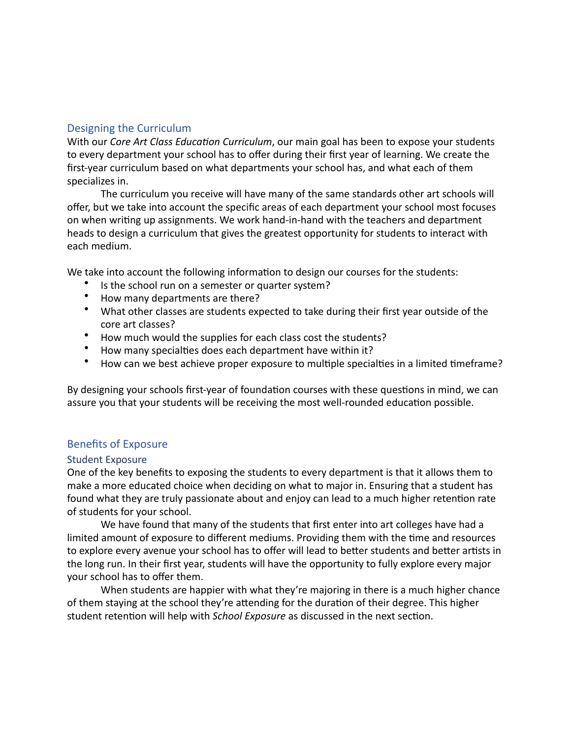### <span id="page-4-0"></span>Designing the Curriculum

With our *Core Art Class Education Curriculum*, our main goal has been to expose your students to every department your school has to offer during their first year of learning. We create the first-year curriculum based on what departments your school has, and what each of them specializes in.

The curriculum you receive will have many of the same standards other art schools will offer, but we take into account the specific areas of each department your school most focuses on when writing up assignments. We work hand-in-hand with the teachers and department heads to design a curriculum that gives the greatest opportunity for students to interact with each medium. 

We take into account the following information to design our courses for the students:

- Is the school run on a semester or quarter system?
- How many departments are there?
- What other classes are students expected to take during their first year outside of the core art classes?
- How much would the supplies for each class cost the students?
- How many specialties does each department have within it?
- How can we best achieve proper exposure to multiple specialties in a limited timeframe?

By designing your schools first-year of foundation courses with these questions in mind, we can assure you that your students will be receiving the most well-rounded education possible.

### <span id="page-4-1"></span>**Benefits of Exposure**

#### Student Exposure

One of the key benefits to exposing the students to every department is that it allows them to make a more educated choice when deciding on what to major in. Ensuring that a student has found what they are truly passionate about and enjoy can lead to a much higher retention rate of students for your school.

We have found that many of the students that first enter into art colleges have had a limited amount of exposure to different mediums. Providing them with the time and resources to explore every avenue your school has to offer will lead to better students and better artists in the long run. In their first year, students will have the opportunity to fully explore every major your school has to offer them.

When students are happier with what they're majoring in there is a much higher chance of them staying at the school they're attending for the duration of their degree. This higher student retention will help with *School Exposure* as discussed in the next section.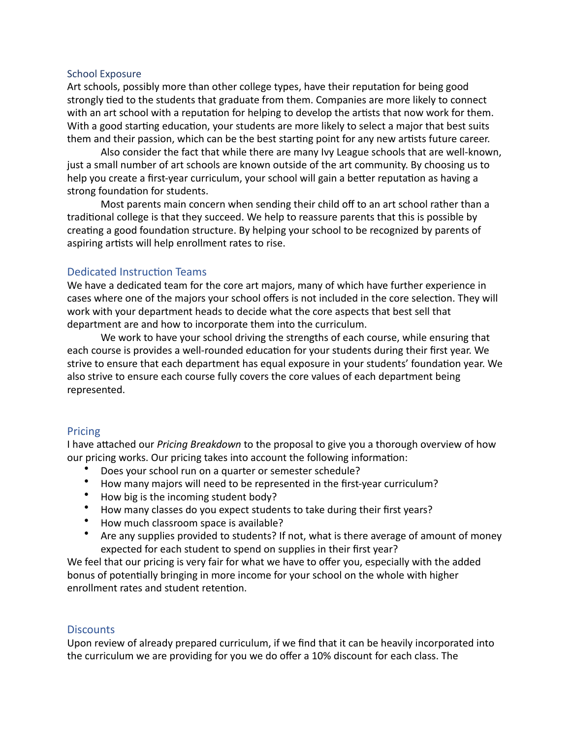#### School Exposure

Art schools, possibly more than other college types, have their reputation for being good strongly tied to the students that graduate from them. Companies are more likely to connect with an art school with a reputation for helping to develop the artists that now work for them. With a good starting education, your students are more likely to select a major that best suits them and their passion, which can be the best starting point for any new artists future career.

Also consider the fact that while there are many Ivy League schools that are well-known, just a small number of art schools are known outside of the art community. By choosing us to help you create a first-year curriculum, your school will gain a better reputation as having a strong foundation for students.

Most parents main concern when sending their child off to an art school rather than a traditional college is that they succeed. We help to reassure parents that this is possible by creating a good foundation structure. By helping your school to be recognized by parents of aspiring artists will help enrollment rates to rise.

#### Dedicated Instruction Teams

We have a dedicated team for the core art majors, many of which have further experience in cases where one of the majors your school offers is not included in the core selection. They will work with your department heads to decide what the core aspects that best sell that department are and how to incorporate them into the curriculum.

We work to have your school driving the strengths of each course, while ensuring that each course is provides a well-rounded education for your students during their first year. We strive to ensure that each department has equal exposure in your students' foundation year. We also strive to ensure each course fully covers the core values of each department being represented. 

#### <span id="page-5-0"></span>Pricing

I have attached our *Pricing Breakdown* to the proposal to give you a thorough overview of how our pricing works. Our pricing takes into account the following information:

- Does your school run on a quarter or semester schedule?
- How many majors will need to be represented in the first-year curriculum?
- How big is the incoming student body?
- How many classes do you expect students to take during their first years?
- How much classroom space is available?
- Are any supplies provided to students? If not, what is there average of amount of money expected for each student to spend on supplies in their first year?

We feel that our pricing is very fair for what we have to offer you, especially with the added bonus of potentially bringing in more income for your school on the whole with higher enrollment rates and student retention.

### <span id="page-5-1"></span>**Discounts**

Upon review of already prepared curriculum, if we find that it can be heavily incorporated into the curriculum we are providing for you we do offer a 10% discount for each class. The